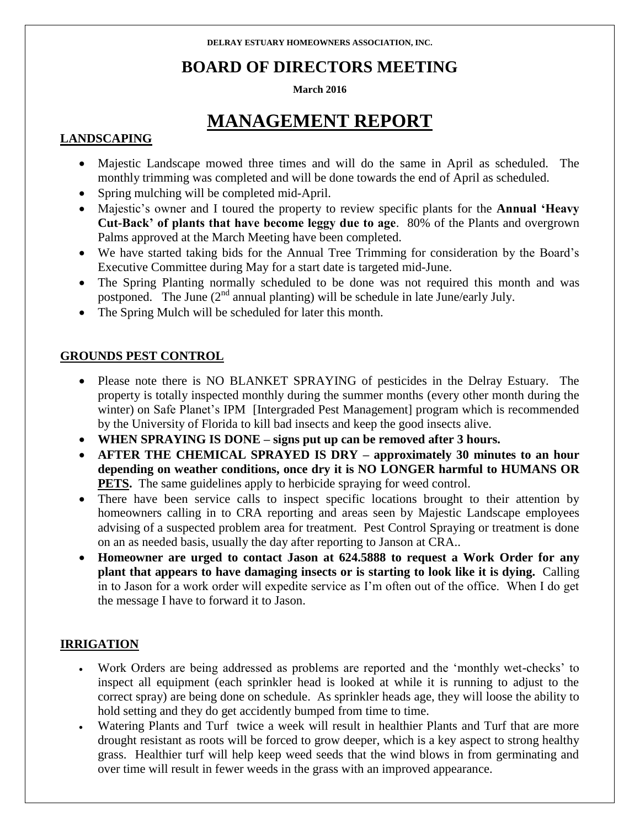# **BOARD OF DIRECTORS MEETING**

#### **March 2016**

# **MANAGEMENT REPORT**

## **LANDSCAPING**

- Majestic Landscape mowed three times and will do the same in April as scheduled. The monthly trimming was completed and will be done towards the end of April as scheduled.
- Spring mulching will be completed mid-April.
- Majestic's owner and I toured the property to review specific plants for the **Annual 'Heavy Cut-Back' of plants that have become leggy due to age**. 80% of the Plants and overgrown Palms approved at the March Meeting have been completed.
- We have started taking bids for the Annual Tree Trimming for consideration by the Board's Executive Committee during May for a start date is targeted mid-June.
- The Spring Planting normally scheduled to be done was not required this month and was postponed. The June  $(2^{nd}$  annual planting) will be schedule in late June/early July.
- The Spring Mulch will be scheduled for later this month.

### **GROUNDS PEST CONTROL**

- Please note there is NO BLANKET SPRAYING of pesticides in the Delray Estuary. The property is totally inspected monthly during the summer months (every other month during the winter) on Safe Planet's IPM [Intergraded Pest Management] program which is recommended by the University of Florida to kill bad insects and keep the good insects alive.
- **WHEN SPRAYING IS DONE – signs put up can be removed after 3 hours.**
- **AFTER THE CHEMICAL SPRAYED IS DRY – approximately 30 minutes to an hour depending on weather conditions, once dry it is NO LONGER harmful to HUMANS OR PETS.** The same guidelines apply to herbicide spraying for weed control.
- There have been service calls to inspect specific locations brought to their attention by homeowners calling in to CRA reporting and areas seen by Majestic Landscape employees advising of a suspected problem area for treatment. Pest Control Spraying or treatment is done on an as needed basis, usually the day after reporting to Janson at CRA..
- **Homeowner are urged to contact Jason at 624.5888 to request a Work Order for any plant that appears to have damaging insects or is starting to look like it is dying.** Calling in to Jason for a work order will expedite service as I'm often out of the office. When I do get the message I have to forward it to Jason.

### **IRRIGATION**

- Work Orders are being addressed as problems are reported and the 'monthly wet-checks' to inspect all equipment (each sprinkler head is looked at while it is running to adjust to the correct spray) are being done on schedule. As sprinkler heads age, they will loose the ability to hold setting and they do get accidently bumped from time to time.
- Watering Plants and Turf twice a week will result in healthier Plants and Turf that are more drought resistant as roots will be forced to grow deeper, which is a key aspect to strong healthy grass. Healthier turf will help keep weed seeds that the wind blows in from germinating and over time will result in fewer weeds in the grass with an improved appearance.